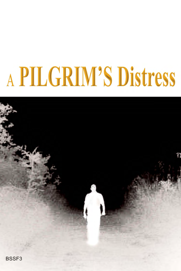# A PILGRIM'S Distress



**BSSF3**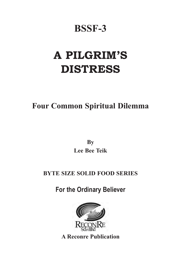#### **BSSF-3**

### **A PILGRIM'S DISTRESS**

#### **Four Common Spiritual Dilemma**

**By Lee Bee Teik**

#### **BYTE SIZE SOLID FOOD SERIES**

**For the Ordinary Believer**



**A Reconre Publication**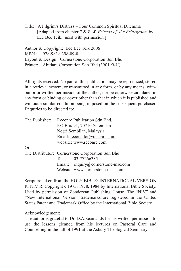Title: A Pilgrim's Distress – Four Common Spiritual Dilemma [Adapted from chapter 7 & 8 of *Friends of the Bridegroom* by Lee Bee Teik, used with permission.]

Author & Copyright: Lee Bee Teik 2006 ISBN : 978-983-9398-09-0 Layout & Design: Cornerstone Corporation Sdn Bhd Printer: Akitiara Corporation Sdn Bhd (390199-U)

All rights reserved. No part of this publication may be reproduced, stored in a retrieval system, or transmitted in any form, or by any means, without prior written permission of the author, nor be otherwise circulated in any form or binding or cover other than that in which it is published and without a similar condition being imposed on the subsequent purchaser. Enquiries to be directed to:

|    | The Publisher: Reconre Publication Sdn Bhd,      |
|----|--------------------------------------------------|
|    | P.O.Box 91, 70710 Seremban                       |
|    | Negri Sembilan, Malaysia                         |
|    | Email: reconcilor@reconre.com                    |
|    | website: www.reconre.com                         |
| Or |                                                  |
|    | The Distributor: Cornerstone Corporation Sdn Bhd |
|    | Tel: 03-77266335                                 |
|    | Email: inquiry@cornerstone-msc.com               |
|    | Website: www.cornerstone-msc.com                 |

Scripture taken from the HOLY BIBLE: INTERNATIONAL VERSION R. NIV R. Copyright c 1973, 1978, 1984 by International Bible Society. Used by permission of Zondervan Publishing House. The "NIV" and "New International Version" trademarks are registered in the United States Patent and Trademark Office by the International Bible Society.

Acknowledgement:

The author is grateful to Dr. D.A.Seamands for his written permission to use the lessons gleaned from his lectures on Pastoral Care and Counselling in the fall of 1991 at the Asbury Theological Seminary.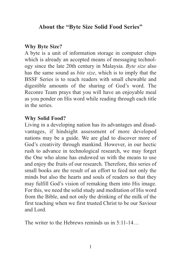#### **About the "Byte Size Solid Food Series"**

#### **Why Byte Size?**

A byte is a unit of information storage in computer chips which is already an accepted means of messaging technology since the late 20th century in Malaysia. *Byte size* also has the same sound as *bite size*, which is to imply that the BSSF Series is to reach readers with small chewable and digestible amounts of the sharing of God's word. The Reconre Team prays that you will have an enjoyable meal as you ponder on His word while reading through each title in the series.

#### **Why Solid Food?**

Living in a developing nation has its advantages and disadvantages, if hindsight assessment of more developed nations may be a guide. We are glad to discover more of God's creativity through mankind. However, in our hectic rush to advance in technological research, we may forget the One who alone has endowed us with the means to use and enjoy the fruits of our research. Therefore, this series of small books are the result of an effort to feed not only the minds but also the hearts and souls of readers so that they may fulfill God's vision of remaking them into His image. For this, we need the solid study and meditation of His word from the Bible, and not only the drinking of the milk of the first teaching when we first trusted Christ to be our Saviour and Lord.

The writer to the Hebrews reminds us in 5:11-14...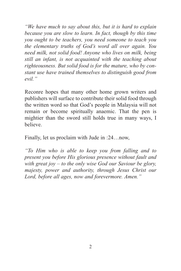*"We have much to say about this, but it is hard to explain because you are slow to learn. In fact, though by this time you ought to be teachers, you need someone to teach you the elementary truths of God's word all over again. You need milk, not solid food! Anyone who lives on milk, being still an infant, is not acquainted with the teaching about righteousness. But solid food is for the mature, who by constant use have trained themselves to distinguish good from evil."*

Reconre hopes that many other home grown writers and publishers will surface to contribute their solid food through the written word so that God's people in Malaysia will not remain or become spiritually anaemic. That the pen is mightier than the sword still holds true in many ways, I believe.

Finally, let us proclaim with Jude in :24…now,

*"To Him who is able to keep you from falling and to present you before His glorious presence without fault and with great joy – to the only wise God our Saviour be glory, majesty, power and authority, through Jesus Christ our Lord, before all ages, now and forevermore. Amen."*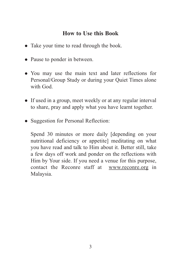#### **How to Use this Book**

- Take your time to read through the book.
- Pause to ponder in between.
- You may use the main text and later reflections for Personal/Group Study or during your Quiet Times alone with God.
- If used in a group, meet weekly or at any regular interval to share, pray and apply what you have learnt together.
- Suggestion for Personal Reflection:

Spend 30 minutes or more daily [depending on your nutritional deficiency or appetite] meditating on what you have read and talk to Him about it. Better still, take a few days off work and ponder on the reflections with Him by Your side. If you need a venue for this purpose, contact the Reconre staff at www.reconre.org in Malaysia.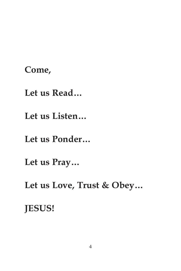#### **Come,**

**Let us Read…**

**Let us Listen…**

**Let us Ponder…**

**Let us Pray…**

**Let us Love, Trust & Obey…**

**JESUS!**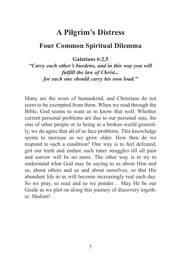#### **A Pilgrim's Distress**

#### **Four Common Spiritual Dilemma**

**Galatians 6:2,5**

*"Carry each other's burdens, and in this way you will fulfill the law of Christ... for each one should carry his own load."*

Many are the woes of humankind, and Christians do not seem to be exempted from them. When we read through the Bible, God seems to want us to know that well. Whether current personal problems are due to our personal sins, the sins of other people or to being in a broken world generally, we do agree that all of us face problems. This knowledge seems to increase as we grow older. How then do we respond to such a condition? One way is to feel defeated, grit our teeth and endure such inner struggles till all pain and sorrow will be no more. The other way is to try to understand what God may be saying to us about Him and us, about others and us and about ourselves, so that His abundant life in us will become increasingly real each day. So we pray, so read and so we ponder… May He be our Guide as we plot on along this journey of discovery together. Shalom!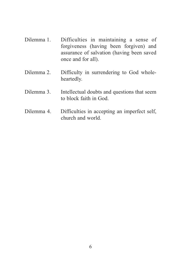- Dilemma 1. Difficulties in maintaining a sense of forgiveness (having been forgiven) and assurance of salvation (having been saved once and for all).
- Dilemma 2. Difficulty in surrendering to God wholeheartedly.
- Dilemma 3. Intellectual doubts and questions that seem to block faith in God.
- Dilemma 4. Difficulties in accepting an imperfect self, church and world.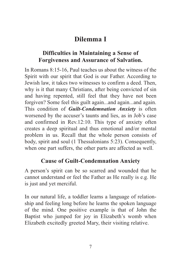#### **Dilemma I**

#### **Difficulties in Maintaining a Sense of Forgiveness and Assurance of Salvation.**

In Romans 8:15-16, Paul teaches us about the witness of the Spirit with our spirit that God is our Father. According to Jewish law, it takes two witnesses to confirm a deed. Then, why is it that many Christians, after being convicted of sin and having repented, still feel that they have not been forgiven? Some feel this guilt again...and again...and again. This condition of *Guilt-Condemnation Anxiety* is often worsened by the accuser's taunts and lies, as in Job's case and confirmed in Rev.12:10. This type of anxiety often creates a deep spiritual and thus emotional and/or mental problem in us. Recall that the whole person consists of body, spirit and soul (1 Thessalonians 5:23). Consequently, when one part suffers, the other parts are affected as well.

#### **Cause of Guilt-Condemnation Anxiety**

A person's spirit can be so scarred and wounded that he cannot understand or feel the Father as He really is e.g. He is just and yet merciful.

In our natural life, a toddler learns a language of relationship and feeling long before he learns the spoken language of the mind. One positive example is that of John the Baptist who jumped for joy in Elizabeth's womb when Elizabeth excitedly greeted Mary, their visiting relative.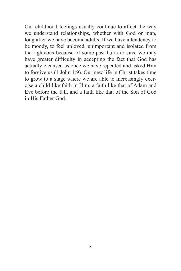Our childhood feelings usually continue to affect the way we understand relationships, whether with God or man, long after we have become adults. If we have a tendency to be moody, to feel unloved, unimportant and isolated from the righteous because of some past hurts or sins, we may have greater difficulty in accepting the fact that God has actually cleansed us once we have repented and asked Him to forgive us (1 John 1:9). Our new life in Christ takes time to grow to a stage where we are able to increasingly exercise a child-like faith in Him, a faith like that of Adam and Eve before the fall, and a faith like that of the Son of God in His Father God.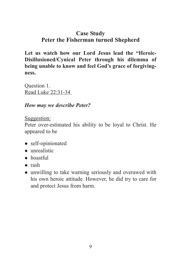#### **Case Study Peter the Fisherman turned Shepherd**

**Let us watch how our Lord Jesus lead the "Heroic-Disillusioned/Cynical Peter through his dilemma of being unable to know and feel God's grace of forgivingness.**

Question 1. Read Luke 22:31-34

#### *How may we describe Peter?*

#### Suggestion:

Peter over-estimated his ability to be loyal to Christ. He appeared to be

- self-opinionated
- unrealistic
- boastful
- rash
- unwilling to take warning seriously and overawed with his own heroic attitude. However, he did try to care for and protect Jesus from harm.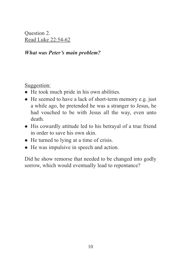Question 2. Read Luke 22:54-62

*What was Peter's main problem?*

Suggestion:

- He took much pride in his own abilities.
- He seemed to have a lack of short-term memory e.g. just a while ago, he pretended he was a stranger to Jesus, he had vouched to be with Jesus all the way, even unto death.
- His cowardly attitude led to his betrayal of a true friend in order to save his own skin.
- He turned to lying at a time of crisis.
- He was impulsive in speech and action.

Did he show remorse that needed to be changed into godly sorrow, which would eventually lead to repentance?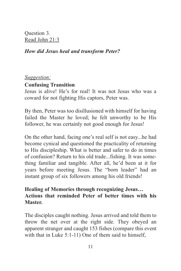Question 3. Read John 21:3

#### *How did Jesus heal and transform Peter?*

#### *Suggestion:*

#### **Confusing Transition**

Jesus is alive! He's for real! It was not Jesus who was a coward for not fighting His captors, Peter was.

By then, Peter was too disillusioned with himself for having failed the Master he loved; he felt unworthy to be His follower, he was certainly not good enough for Jesus!

On the other hand, facing one's real self is not easy...he had become cynical and questioned the practicality of returning to His discipleship. What is better and safer to do in times of confusion? Return to his old trade...fishing. It was something familiar and tangible. After all, he'd been at it for years before meeting Jesus. The "born leader" had an instant group of six followers among his old friends!

#### **Healing of Memories through recognizing Jesus… Actions that reminded Peter of better times with his Master.**

The disciples caught nothing. Jesus arrived and told them to throw the net over at the right side. They obeyed an apparent stranger and caught 153 fishes (compare this event with that in Luke 5:1-11) One of them said to himself,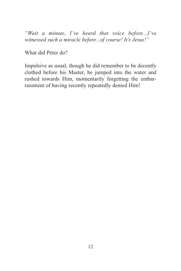*"Wait a minute, I've heard that voice before...I've witnessed such a miracle before...of course! It's Jesus!"*

What did Peter do?

Impulsive as usual, though he did remember to be decently clothed before his Master, he jumped into the water and rushed towards Him, momentarily forgetting the embarrassment of having recently repeatedly denied Him!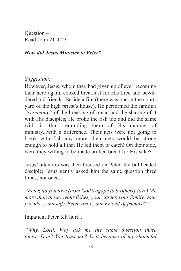Question 4 Read John 21:4-23

#### *How did Jesus Minister to Peter?*

#### *Suggestion:*

However, Jesus, whom they had given up of ever becoming their hero again, cooked breakfast for His tired and bewildered old friends. Beside a fire (there was one in the courtyard of the high priest's house), He performed the familiar *"ceremony"* of the breaking of bread and the sharing of it with His disciples; He broke the fish too and did the same with it, thus reminding them of His manner of ministry...with a difference. Their nets were not going to break with fish any more...their nets would be strong enough to hold all that He led them to catch! On their side, were they willing to be made broken bread for His sake?

Jesus' attention was then focused on Peter, the bullheaded disciple; Jesus gently asked him the same question three times, not once…

*"Peter, do you love (from God's agape to brotherly love) Me more than these…your fishes, your career, your family, your friends…yourself? Peter, am I your Friend of friends?"*

Impatient Peter felt hurt...

*"Why, Lord, Why ask me the same question three times...Don't You trust me? Is it because of my shameful*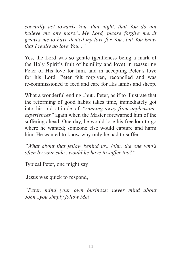*cowardly act towards You, that night, that You do not believe me any more?...My Lord, please forgive me...it grieves me to have denied my love for You...but You know that I really do love You..."*

Yes, the Lord was so gentle (gentleness being a mark of the Holy Spirit's fruit of humility and love) in reassuring Peter of His love for him, and in accepting Peter's love for his Lord. Peter felt forgiven, reconciled and was re-commissioned to feed and care for His lambs and sheep.

What a wonderful ending...but...Peter, as if to illustrate that the reforming of good habits takes time, immediately got into his old attitude of *"running-away-from-unpleasantexperiences"* again when the Master forewarned him of the suffering ahead. One day, he would lose his freedom to go where he wanted; someone else would capture and harm him. He wanted to know why only he had to suffer.

*"What about that fellow behind us...John, the one who's often by your side...would he have to suffer too?"*

Typical Peter, one might say!

Jesus was quick to respond,

*"Peter, mind your own business; never mind about John...you simply follow Me!"*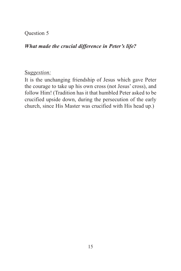#### Question 5

#### *What made the crucial difference in Peter's life?*

#### S*uggestion:*

It is the unchanging friendship of Jesus which gave Peter the courage to take up his own cross (not Jesus' cross), and follow Him! (Tradition has it that humbled Peter asked to be crucified upside down, during the persecution of the early church, since His Master was crucified with His head up.)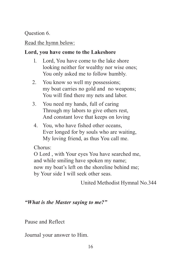Question 6.

#### Read the hymn below:

#### **Lord, you have come to the Lakeshore**

- l. Lord, You have come to the lake shore looking neither for wealthy nor wise ones; You only asked me to follow humbly.
- 2. You know so well my possessions; my boat carries no gold and no weapons; You will find there my nets and labor.
- 3. You need my hands, full of caring Through my labors to give others rest, And constant love that keeps on loving
- 4. You, who have fished other oceans, Ever longed for by souls who are waiting, My loving friend, as thus You call me.

Chorus:

O Lord , with Your eyes You have searched me, and while smiling have spoken my name; now my boat's left on the shoreline behind me; by Your side I will seek other seas.

United Methodist Hymnal No.344

#### *"What is the Master saying to me?"*

Pause and Reflect

Journal your answer to Him.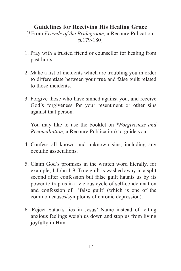#### **Guidelines for Receiving His Healing Grace**

[\*From *Friends of the Bridegroom,* a Reconre Pulication, p.179-180]

- 1. Pray with a trusted friend or counsellor for healing from past hurts.
- 2. Make a list of incidents which are troubling you in order to differentiate between your true and false guilt related to those incidents.
- 3. Forgive those who have sinned against you, and receive God's forgiveness for your resentment or other sins against that person.

You may like to use the booklet on \**Forgiveness and Reconciliation,* a Reconre Publication) to guide you.

- 4. Confess all known and unknown sins, including any occultic associations.
- 5. Claim God's promises in the written word literally, for example, 1 John 1:9. True guilt is washed away in a split second after confession but false guilt haunts us by its power to trap us in a vicious cycle of self-condemnation and confession of 'false guilt' (which is one of the common causes/symptoms of chronic depression).
- 6. Reject Satan's lies in Jesus' Name instead of letting anxious feelings weigh us down and stop us from living joyfully in Him.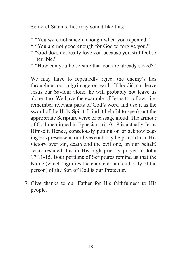Some of Satan's lies may sound like this:

- \* "You were not sincere enough when you repented."
- \* "You are not good enough for God to forgive you."
- \* "God does not really love you because you still feel so terrible."
- \* "How can you be so sure that you are already saved?"

We may have to repeatedly reject the enemy's lies throughout our pilgrimage on earth. If he did not leave Jesus our Saviour alone, he will probably not leave us alone too. We have the example of Jesus to follow, i.e. remember relevant parts of God's word and use it as the sword of the Holy Spirit. I find it helpful to speak out the appropriate Scripture verse or passage aloud. The armour of God mentioned in Ephesians 6:10-18 is actually Jesus Himself. Hence, consciously putting on or acknowledging His presence in our lives each day helps us affirm His victory over sin, death and the evil one, on our behalf. Jesus restated this in His high priestly prayer in John 17:11-15. Both portions of Scriptures remind us that the Name (which signifies the character and authority of the person) of the Son of God is our Protector.

7. Give thanks to our Father for His faithfulness to His people.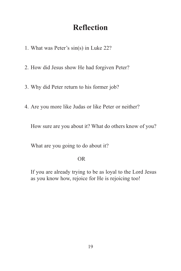#### **Reflection**

- 1. What was Peter's sin(s) in Luke 22?
- 2. How did Jesus show He had forgiven Peter?
- 3. Why did Peter return to his former job?
- 4. Are you more like Judas or like Peter or neither?

How sure are you about it? What do others know of you?

What are you going to do about it?

#### OR

If you are already trying to be as loyal to the Lord Jesus as you know how, rejoice for He is rejoicing too!